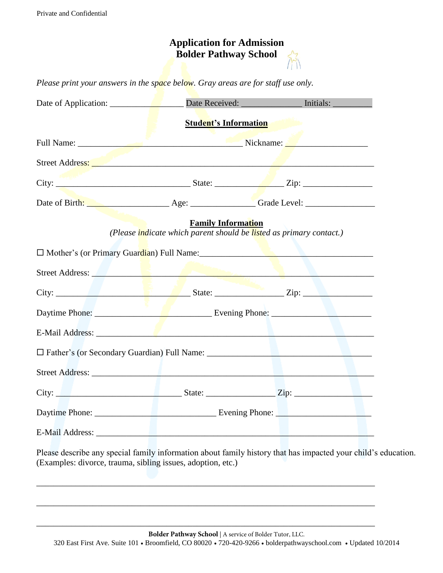|                                                                                                                | <b>Application for Admission</b><br><b>Bolder Pathway School</b> |                                                                                                                                                                                                                                     |
|----------------------------------------------------------------------------------------------------------------|------------------------------------------------------------------|-------------------------------------------------------------------------------------------------------------------------------------------------------------------------------------------------------------------------------------|
| Please print your answers in the space below. Gray areas are for staff use only.                               |                                                                  |                                                                                                                                                                                                                                     |
|                                                                                                                |                                                                  | Date Received: Initials:                                                                                                                                                                                                            |
|                                                                                                                | <b>Student's Information</b>                                     |                                                                                                                                                                                                                                     |
|                                                                                                                |                                                                  |                                                                                                                                                                                                                                     |
|                                                                                                                |                                                                  |                                                                                                                                                                                                                                     |
|                                                                                                                |                                                                  |                                                                                                                                                                                                                                     |
|                                                                                                                |                                                                  | Date of Birth: <u>New Age: Age: Grade Level:</u> Grade Level:                                                                                                                                                                       |
|                                                                                                                | <b>Family Information</b>                                        | (Please <i>indicate which parent should be listed as primary contact.</i> )                                                                                                                                                         |
|                                                                                                                |                                                                  |                                                                                                                                                                                                                                     |
| Street Address: New York 1988 and 1988 and 1988 and 1988 and 1988 and 1988 and 1988 and 1988 and 1988 and 1988 |                                                                  |                                                                                                                                                                                                                                     |
|                                                                                                                |                                                                  |                                                                                                                                                                                                                                     |
|                                                                                                                |                                                                  |                                                                                                                                                                                                                                     |
|                                                                                                                |                                                                  |                                                                                                                                                                                                                                     |
| □ Father's (or Secondary Guardian) Full Name: __________________________________                               |                                                                  |                                                                                                                                                                                                                                     |
|                                                                                                                |                                                                  |                                                                                                                                                                                                                                     |
|                                                                                                                |                                                                  | City: <u>City: City:</u> State: City: City: City: City: City: City: City: City: City: City: City: City: City: City: City: City: City: City: City: City: City: City: City: City: City: City: City: City: City: City: City: City: Cit |
|                                                                                                                |                                                                  |                                                                                                                                                                                                                                     |
|                                                                                                                |                                                                  |                                                                                                                                                                                                                                     |

Please describe any special family information about family history that has impacted your child's education. (Examples: divorce, trauma, sibling issues, adoption, etc.)

\_\_\_\_\_\_\_\_\_\_\_\_\_\_\_\_\_\_\_\_\_\_\_\_\_\_\_\_\_\_\_\_\_\_\_\_\_\_\_\_\_\_\_\_\_\_\_\_\_\_\_\_\_\_\_\_\_\_\_\_\_\_\_\_\_\_\_\_\_\_\_\_\_\_\_\_\_\_

\_\_\_\_\_\_\_\_\_\_\_\_\_\_\_\_\_\_\_\_\_\_\_\_\_\_\_\_\_\_\_\_\_\_\_\_\_\_\_\_\_\_\_\_\_\_\_\_\_\_\_\_\_\_\_\_\_\_\_\_\_\_\_\_\_\_\_\_\_\_\_\_\_\_\_\_\_\_

\_\_\_\_\_\_\_\_\_\_\_\_\_\_\_\_\_\_\_\_\_\_\_\_\_\_\_\_\_\_\_\_\_\_\_\_\_\_\_\_\_\_\_\_\_\_\_\_\_\_\_\_\_\_\_\_\_\_\_\_\_\_\_\_\_\_\_\_\_\_\_\_\_\_\_\_\_\_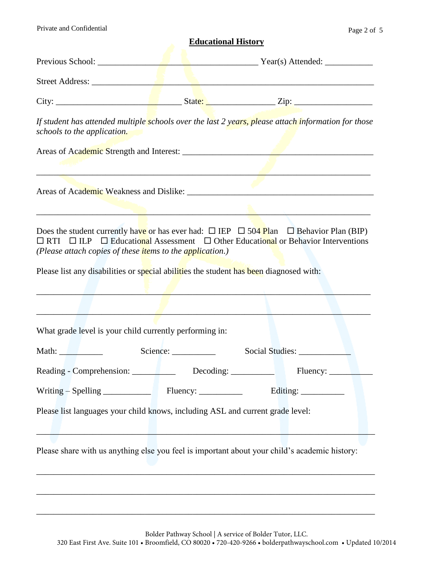Private and Confidential Page 2 of 5

## **Educational History**

| Previous School: |  |                                                                                                                                                                                                                                                                                                                                    |  |
|------------------|--|------------------------------------------------------------------------------------------------------------------------------------------------------------------------------------------------------------------------------------------------------------------------------------------------------------------------------------|--|
| Street Address:  |  |                                                                                                                                                                                                                                                                                                                                    |  |
| City:            |  |                                                                                                                                                                                                                                                                                                                                    |  |
|                  |  | $\mathbf{F}$ $\mathbf{F}$ $\mathbf{F}$ $\mathbf{F}$ $\mathbf{F}$ $\mathbf{F}$ $\mathbf{F}$ $\mathbf{F}$ $\mathbf{F}$ $\mathbf{F}$ $\mathbf{F}$ $\mathbf{F}$ $\mathbf{F}$ $\mathbf{F}$ $\mathbf{F}$ $\mathbf{F}$ $\mathbf{F}$ $\mathbf{F}$ $\mathbf{F}$ $\mathbf{F}$ $\mathbf{F}$ $\mathbf{F}$ $\mathbf{F}$ $\mathbf{F}$ $\mathbf{$ |  |

*If student has attended multiple schools over the last 2 years, please attach information for those schools to the application.* 

Areas of Academic Strength and Interest: \_\_\_\_\_\_\_\_\_\_\_\_\_\_\_\_\_\_\_\_\_\_\_\_\_\_\_\_\_\_\_\_\_\_\_\_\_\_\_\_\_\_\_\_

\_\_\_\_\_\_\_\_\_\_\_\_\_\_\_\_\_\_\_\_\_\_\_\_\_\_\_\_\_\_\_\_\_\_\_\_\_\_\_\_\_\_\_\_\_\_\_\_\_\_\_\_\_\_\_\_\_\_\_\_\_\_\_\_\_\_\_\_\_\_\_\_\_\_\_\_\_

Areas of Academic Weakness and Dislike: \_\_\_\_\_\_\_\_\_\_\_\_\_\_\_\_\_\_\_\_\_\_\_\_\_\_\_\_\_\_\_\_\_\_\_\_\_\_\_\_\_\_\_

Does the student currently have or has ever had:  $\Box$  IEP  $\Box$  504 Plan  $\Box$  Behavior Plan (BIP)  $\Box$  RTI  $\Box$  ILP  $\Box$  Educational Assessment  $\Box$  Other Educational or Behavior Interventions *(Please attach copies of these items to the application.)* 

 $\mathcal{L} = \mathcal{L} \mathcal{L} = \mathcal{L} \mathcal{L}$  , where  $\mathcal{L} = \mathcal{L} \mathcal{L}$  , where  $\mathcal{L} = \mathcal{L} \mathcal{L}$  , where  $\mathcal{L} = \mathcal{L} \mathcal{L}$ 

Please list any disabilities or special abilities the student has been diagnosed with:

| Social Studies:                                                                                                                                                                 |  |  |
|---------------------------------------------------------------------------------------------------------------------------------------------------------------------------------|--|--|
| What grade level is your child currently performing in:                                                                                                                         |  |  |
|                                                                                                                                                                                 |  |  |
|                                                                                                                                                                                 |  |  |
| Please list languages your child knows, including ASL and current grade level:<br>Please share with us anything else you feel is important about your child's academic history: |  |  |
|                                                                                                                                                                                 |  |  |
|                                                                                                                                                                                 |  |  |
|                                                                                                                                                                                 |  |  |
|                                                                                                                                                                                 |  |  |
|                                                                                                                                                                                 |  |  |

Bolder Pathway School | A service of Bolder Tutor, LLC. 320 East First Ave. Suite 101 • Broomfield, CO 80020 • 720-420-9266 • bolderpathwayschool.com • Updated 10/2014

\_\_\_\_\_\_\_\_\_\_\_\_\_\_\_\_\_\_\_\_\_\_\_\_\_\_\_\_\_\_\_\_\_\_\_\_\_\_\_\_\_\_\_\_\_\_\_\_\_\_\_\_\_\_\_\_\_\_\_\_\_\_\_\_\_\_\_\_\_\_\_\_\_\_\_\_\_\_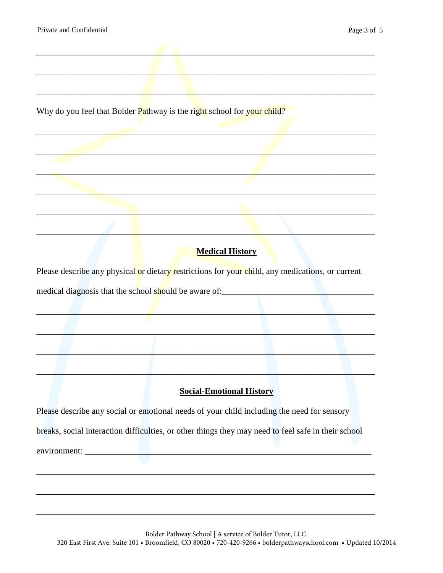Why do you feel that Bolder Pathway is the right school for your child?

## **Medical History**

Please describe any physical or dietary restrictions for your child, any medications, or current medical diagnosis that the school should be aware of:

## **Social-Emotional History**

Please describe any social or emotional needs of your child including the need for sensory breaks, social interaction difficulties, or other things they may need to feel safe in their school environment: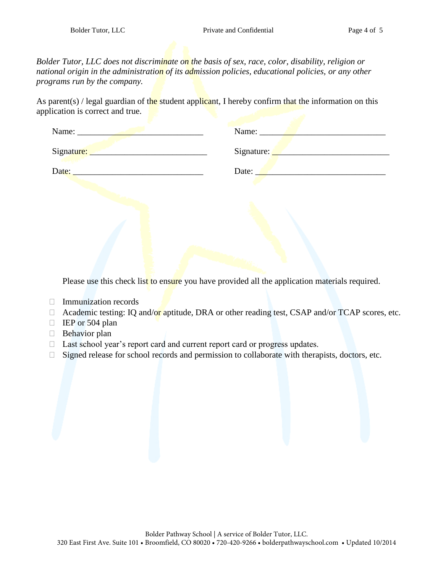*Bolder Tutor, LLC does not discriminate on the basis of sex, race, color, disability, religion or national origin in the administration of its admission policies, educational policies, or any other programs run by the company.* 

As parent(s) / legal guardian of the student applicant, I hereby confirm that the information on this application is correct and true.

| Name:      | Name:      |
|------------|------------|
| Signature: | Signature: |
| Date:      | Date:      |

Please use this check list to ensure you have provided all the application materials required.

- Immunization records
- $\Box$  Academic testing: IQ and/or aptitude, DRA or other reading test, CSAP and/or TCAP scores, etc.
- $\Box$  IEP or 504 plan
- **Behavior plan**
- □ Last school year's report card and current report card or progress updates.
- $\Box$  Signed release for school records and permission to collaborate with therapists, doctors, etc.